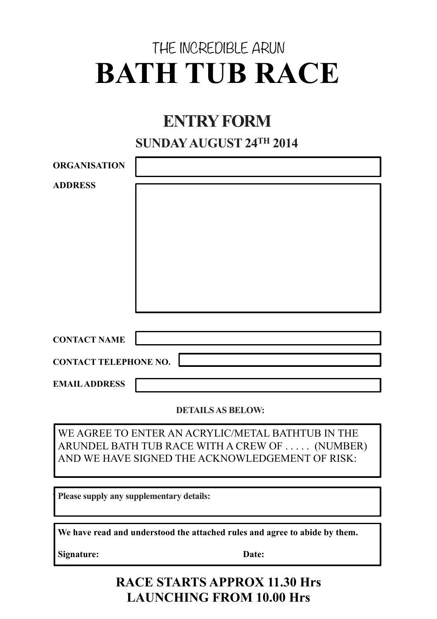# THE INCREDIBLE ARUN **BATH TUB RACE**

# **ENTRY FORM**

### **SUNDAY AUGUST 24TH 2014**

| <b>ORGANISATION</b>          |  |
|------------------------------|--|
| <b>ADDRESS</b>               |  |
|                              |  |
| <b>CONTACT NAME</b>          |  |
| <b>CONTACT TELEPHONE NO.</b> |  |
| <b>EMAIL ADDRESS</b>         |  |

**DETAILS AS BELOW:**

WE AGREE TO ENTER AN ACRYLIC/METAL BATHTUB IN THE ARUNDEL BATH TUB RACE WITH A CREW OF . . . . . (NUMBER) AND WE HAVE SIGNED THE ACKNOWLEDGEMENT OF RISK:

Please supply any supplementary details:

**We have read and understood the attached rules and agree to abide by them.**

**Signature: Date:**

## **RACE STARTS APPROX 11.30 Hrs LAUNCHING FROM 10.00 Hrs**